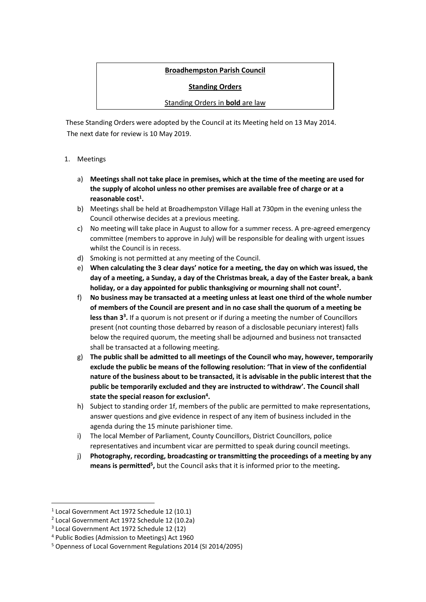# **Broadhempston Parish Council**

**Standing Orders** 

### Standing Orders in **bold** are law

 These Standing Orders were adopted by the Council at its Meeting held on 13 May 2014. The next date for review is 10 May 2019.

### 1. Meetings

- a) **Meetings shall not take place in premises, which at the time of the meeting are used for the supply of alcohol unless no other premises are available free of charge or at a reasonable cost<sup>1</sup> .**
- b) Meetings shall be held at Broadhempston Village Hall at 730pm in the evening unless the Council otherwise decides at a previous meeting.
- c) No meeting will take place in August to allow for a summer recess. A pre-agreed emergency committee (members to approve in July) will be responsible for dealing with urgent issues whilst the Council is in recess.
- d) Smoking is not permitted at any meeting of the Council.
- e) **When calculating the 3 clear days' notice for a meeting, the day on which was issued, the day of a meeting, a Sunday, a day of the Christmas break, a day of the Easter break, a bank holiday, or a day appointed for public thanksgiving or mourning shall not count<sup>2</sup> .**
- f) **No business may be transacted at a meeting unless at least one third of the whole number of members of the Council are present and in no case shall the quorum of a meeting be less than 3<sup>3</sup> .** If a quorum is not present or if during a meeting the number of Councillors present (not counting those debarred by reason of a disclosable pecuniary interest) falls below the required quorum, the meeting shall be adjourned and business not transacted shall be transacted at a following meeting.
- g) **The public shall be admitted to all meetings of the Council who may, however, temporarily exclude the public be means of the following resolution: 'That in view of the confidential nature of the business about to be transacted, it is advisable in the public interest that the public be temporarily excluded and they are instructed to withdraw'. The Council shall state the special reason for exclusion<sup>4</sup> .**
- h) Subject to standing order 1f, members of the public are permitted to make representations, answer questions and give evidence in respect of any item of business included in the agenda during the 15 minute parishioner time.
- i) The local Member of Parliament, County Councillors, District Councillors, police representatives and incumbent vicar are permitted to speak during council meetings.
- j) **Photography, recording, broadcasting or transmitting the proceedings of a meeting by any means is permitted<sup>5</sup> ,** but the Council asks that it is informed prior to the meeting**.**

<sup>1</sup> Local Government Act 1972 Schedule 12 (10.1)

<sup>2</sup> Local Government Act 1972 Schedule 12 (10.2a)

<sup>3</sup> Local Government Act 1972 Schedule 12 (12)

<sup>4</sup> Public Bodies (Admission to Meetings) Act 1960

<sup>5</sup> Openness of Local Government Regulations 2014 (SI 2014/2095)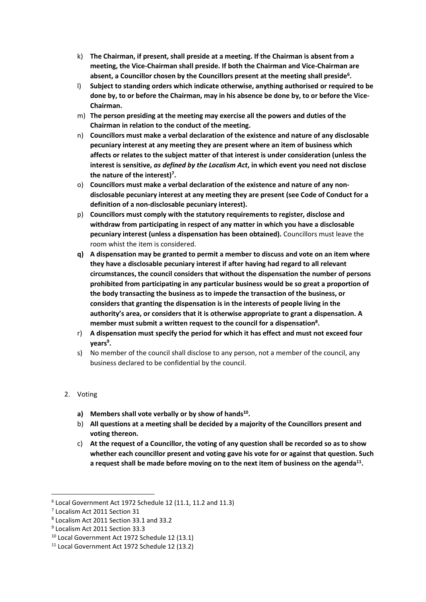- k) **The Chairman, if present, shall preside at a meeting. If the Chairman is absent from a meeting, the Vice-Chairman shall preside. If both the Chairman and Vice-Chairman are absent, a Councillor chosen by the Councillors present at the meeting shall preside<sup>6</sup> .**
- l) **Subject to standing orders which indicate otherwise, anything authorised or required to be done by, to or before the Chairman, may in his absence be done by, to or before the Vice-Chairman.**
- m) **The person presiding at the meeting may exercise all the powers and duties of the Chairman in relation to the conduct of the meeting.**
- n) **Councillors must make a verbal declaration of the existence and nature of any disclosable pecuniary interest at any meeting they are present where an item of business which affects or relates to the subject matter of that interest is under consideration (unless the interest is sensitive,** *as defined by the Localism Act***, in which event you need not disclose the nature of the interest)<sup>7</sup> .**
- o) **Councillors must make a verbal declaration of the existence and nature of any nondisclosable pecuniary interest at any meeting they are present (see Code of Conduct for a definition of a non-disclosable pecuniary interest).**
- p) **Councillors must comply with the statutory requirements to register, disclose and withdraw from participating in respect of any matter in which you have a disclosable pecuniary interest (unless a dispensation has been obtained).** Councillors must leave the room whist the item is considered.
- **q) A dispensation may be granted to permit a member to discuss and vote on an item where they have a disclosable pecuniary interest if after having had regard to all relevant circumstances, the council considers that without the dispensation the number of persons prohibited from participating in any particular business would be so great a proportion of the body transacting the business as to impede the transaction of the business, or considers that granting the dispensation is in the interests of people living in the authority's area, or considers that it is otherwise appropriate to grant a dispensation. A member must submit a written request to the council for a dispensation<sup>8</sup> .**
- r) **A dispensation must specify the period for which it has effect and must not exceed four years<sup>9</sup> .**
- s) No member of the council shall disclose to any person, not a member of the council, any business declared to be confidential by the council.

# 2. Voting

- **a) Members shall vote verbally or by show of hands<sup>10</sup> .**
- b) **All questions at a meeting shall be decided by a majority of the Councillors present and voting thereon.**
- c) **At the request of a Councillor, the voting of any question shall be recorded so as to show whether each councillor present and voting gave his vote for or against that question. Such a request shall be made before moving on to the next item of business on the agenda<sup>11</sup> .**

<sup>6</sup> Local Government Act 1972 Schedule 12 (11.1, 11.2 and 11.3)

<sup>7</sup> Localism Act 2011 Section 31

<sup>8</sup> Localism Act 2011 Section 33.1 and 33.2

<sup>9</sup> Localism Act 2011 Section 33.3

<sup>10</sup> Local Government Act 1972 Schedule 12 (13.1)

<sup>11</sup> Local Government Act 1972 Schedule 12 (13.2)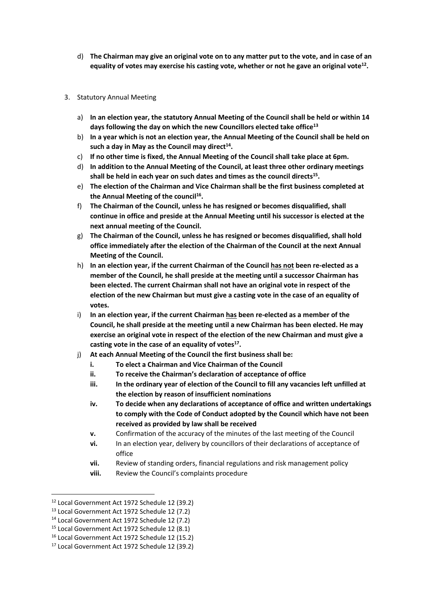d) **The Chairman may give an original vote on to any matter put to the vote, and in case of an equality of votes may exercise his casting vote, whether or not he gave an original vote<sup>12</sup> .**

#### 3. Statutory Annual Meeting

- a) **In an election year, the statutory Annual Meeting of the Council shall be held or within 14 days following the day on which the new Councillors elected take office<sup>13</sup>**
- b) **In a year which is not an election year, the Annual Meeting of the Council shall be held on such a day in May as the Council may direct<sup>14</sup> .**
- c) **If no other time is fixed, the Annual Meeting of the Council shall take place at 6pm.**
- d) **In addition to the Annual Meeting of the Council, at least three other ordinary meetings shall be held in each year on such dates and times as the council directs<sup>15</sup> .**
- e) **The election of the Chairman and Vice Chairman shall be the first business completed at the Annual Meeting of the council<sup>16</sup> .**
- f) **The Chairman of the Council, unless he has resigned or becomes disqualified, shall continue in office and preside at the Annual Meeting until his successor is elected at the next annual meeting of the Council.**
- g) **The Chairman of the Council, unless he has resigned or becomes disqualified, shall hold office immediately after the election of the Chairman of the Council at the next Annual Meeting of the Council.**
- h) **In an election year, if the current Chairman of the Council has not been re-elected as a member of the Council, he shall preside at the meeting until a successor Chairman has been elected. The current Chairman shall not have an original vote in respect of the election of the new Chairman but must give a casting vote in the case of an equality of votes.**
- i) **In an election year, if the current Chairman has been re-elected as a member of the Council, he shall preside at the meeting until a new Chairman has been elected. He may exercise an original vote in respect of the election of the new Chairman and must give a casting vote in the case of an equality of votes<sup>17</sup> .**
- j) **At each Annual Meeting of the Council the first business shall be:**
	- **i. To elect a Chairman and Vice Chairman of the Council**
	- **ii. To receive the Chairman's declaration of acceptance of office**
	- **iii. In the ordinary year of election of the Council to fill any vacancies left unfilled at the election by reason of insufficient nominations**
	- **iv. To decide when any declarations of acceptance of office and written undertakings to comply with the Code of Conduct adopted by the Council which have not been received as provided by law shall be received**
	- **v.** Confirmation of the accuracy of the minutes of the last meeting of the Council
	- **vi.** In an election year, delivery by councillors of their declarations of acceptance of office
	- **vii.** Review of standing orders, financial regulations and risk management policy
	- **viii.** Review the Council's complaints procedure

<sup>12</sup> Local Government Act 1972 Schedule 12 (39.2)

<sup>13</sup> Local Government Act 1972 Schedule 12 (7.2)

<sup>14</sup> Local Government Act 1972 Schedule 12 (7.2)

<sup>15</sup> Local Government Act 1972 Schedule 12 (8.1)

<sup>16</sup> Local Government Act 1972 Schedule 12 (15.2)

<sup>17</sup> Local Government Act 1972 Schedule 12 (39.2)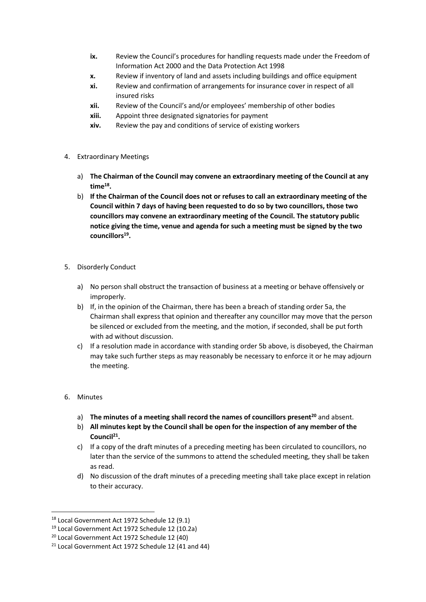- **ix.** Review the Council's procedures for handling requests made under the Freedom of Information Act 2000 and the Data Protection Act 1998
- **x.** Review if inventory of land and assets including buildings and office equipment
- **xi.** Review and confirmation of arrangements for insurance cover in respect of all insured risks
- **xii.** Review of the Council's and/or employees' membership of other bodies
- **xiii.** Appoint three designated signatories for payment
- **xiv.** Review the pay and conditions of service of existing workers
- 4. Extraordinary Meetings
	- a) **The Chairman of the Council may convene an extraordinary meeting of the Council at any time<sup>18</sup> .**
	- b) **If the Chairman of the Council does not or refuses to call an extraordinary meeting of the Council within 7 days of having been requested to do so by two councillors, those two councillors may convene an extraordinary meeting of the Council. The statutory public notice giving the time, venue and agenda for such a meeting must be signed by the two councillors<sup>19</sup> .**
- 5. Disorderly Conduct
	- a) No person shall obstruct the transaction of business at a meeting or behave offensively or improperly.
	- b) If, in the opinion of the Chairman, there has been a breach of standing order 5a, the Chairman shall express that opinion and thereafter any councillor may move that the person be silenced or excluded from the meeting, and the motion, if seconded, shall be put forth with ad without discussion.
	- c) If a resolution made in accordance with standing order 5b above, is disobeyed, the Chairman may take such further steps as may reasonably be necessary to enforce it or he may adjourn the meeting.

#### 6. Minutes

 $\overline{a}$ 

- a) **The minutes of a meeting shall record the names of councillors present<sup>20</sup>** and absent.
- b) **All minutes kept by the Council shall be open for the inspection of any member of the Council<sup>21</sup> .**
- c) If a copy of the draft minutes of a preceding meeting has been circulated to councillors, no later than the service of the summons to attend the scheduled meeting, they shall be taken as read.
- d) No discussion of the draft minutes of a preceding meeting shall take place except in relation to their accuracy.

<sup>18</sup> Local Government Act 1972 Schedule 12 (9.1)

<sup>19</sup> Local Government Act 1972 Schedule 12 (10.2a)

<sup>20</sup> Local Government Act 1972 Schedule 12 (40)

<sup>21</sup> Local Government Act 1972 Schedule 12 (41 and 44)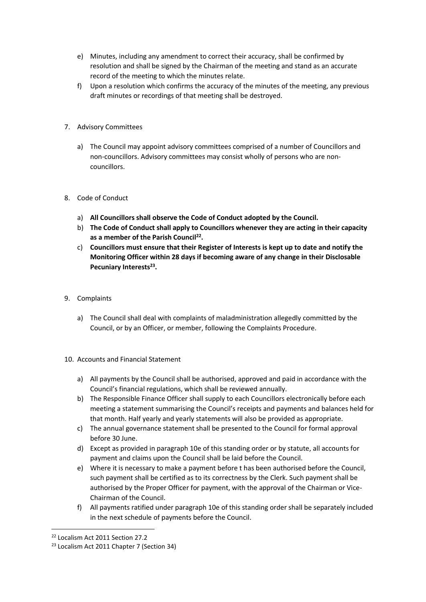- e) Minutes, including any amendment to correct their accuracy, shall be confirmed by resolution and shall be signed by the Chairman of the meeting and stand as an accurate record of the meeting to which the minutes relate.
- f) Upon a resolution which confirms the accuracy of the minutes of the meeting, any previous draft minutes or recordings of that meeting shall be destroyed.
- 7. Advisory Committees
	- a) The Council may appoint advisory committees comprised of a number of Councillors and non-councillors. Advisory committees may consist wholly of persons who are noncouncillors.
- 8. Code of Conduct
	- a) **All Councillors shall observe the Code of Conduct adopted by the Council.**
	- b) **The Code of Conduct shall apply to Councillors whenever they are acting in their capacity as a member of the Parish Council<sup>22</sup> .**
	- c) **Councillors must ensure that their Register of Interests is kept up to date and notify the Monitoring Officer within 28 days if becoming aware of any change in their Disclosable Pecuniary Interests<sup>23</sup> .**
- 9. Complaints
	- a) The Council shall deal with complaints of maladministration allegedly committed by the Council, or by an Officer, or member, following the Complaints Procedure.
- 10. Accounts and Financial Statement
	- a) All payments by the Council shall be authorised, approved and paid in accordance with the Council's financial regulations, which shall be reviewed annually.
	- b) The Responsible Finance Officer shall supply to each Councillors electronically before each meeting a statement summarising the Council's receipts and payments and balances held for that month. Half yearly and yearly statements will also be provided as appropriate.
	- c) The annual governance statement shall be presented to the Council for formal approval before 30 June.
	- d) Except as provided in paragraph 10e of this standing order or by statute, all accounts for payment and claims upon the Council shall be laid before the Council.
	- e) Where it is necessary to make a payment before t has been authorised before the Council, such payment shall be certified as to its correctness by the Clerk. Such payment shall be authorised by the Proper Officer for payment, with the approval of the Chairman or Vice-Chairman of the Council.
	- f) All payments ratified under paragraph 10e of this standing order shall be separately included in the next schedule of payments before the Council.

 $\overline{a}$ 

<sup>22</sup> Localism Act 2011 Section 27.2

<sup>&</sup>lt;sup>23</sup> Localism Act 2011 Chapter 7 (Section 34)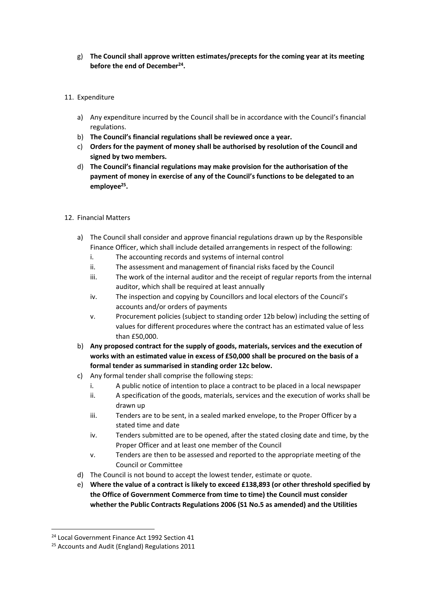- g) **The Council shall approve written estimates/precepts for the coming year at its meeting before the end of December<sup>24</sup> .**
- 11. Expenditure
	- a) Any expenditure incurred by the Council shall be in accordance with the Council's financial regulations.
	- b) **The Council's financial regulations shall be reviewed once a year.**
	- c) **Orders for the payment of money shall be authorised by resolution of the Council and signed by two members.**
	- d) **The Council's financial regulations may make provision for the authorisation of the payment of money in exercise of any of the Council's functions to be delegated to an employee<sup>25</sup> .**
- 12. Financial Matters
	- a) The Council shall consider and approve financial regulations drawn up by the Responsible Finance Officer, which shall include detailed arrangements in respect of the following:
		- i. The accounting records and systems of internal control
		- ii. The assessment and management of financial risks faced by the Council
		- iii. The work of the internal auditor and the receipt of regular reports from the internal auditor, which shall be required at least annually
		- iv. The inspection and copying by Councillors and local electors of the Council's accounts and/or orders of payments
		- v. Procurement policies (subject to standing order 12b below) including the setting of values for different procedures where the contract has an estimated value of less than £50,000.
	- b) **Any proposed contract for the supply of goods, materials, services and the execution of works with an estimated value in excess of £50,000 shall be procured on the basis of a formal tender as summarised in standing order 12c below.**
	- c) Any formal tender shall comprise the following steps:
		- i. A public notice of intention to place a contract to be placed in a local newspaper
		- ii. A specification of the goods, materials, services and the execution of works shall be drawn up
		- iii. Tenders are to be sent, in a sealed marked envelope, to the Proper Officer by a stated time and date
		- iv. Tenders submitted are to be opened, after the stated closing date and time, by the Proper Officer and at least one member of the Council
		- v. Tenders are then to be assessed and reported to the appropriate meeting of the Council or Committee
	- d) The Council is not bound to accept the lowest tender, estimate or quote.
	- e) **Where the value of a contract is likely to exceed £138,893 (or other threshold specified by the Office of Government Commerce from time to time) the Council must consider whether the Public Contracts Regulations 2006 (S1 No.5 as amended) and the Utilities**

 $\overline{a}$ 

<sup>24</sup> Local Government Finance Act 1992 Section 41

<sup>&</sup>lt;sup>25</sup> Accounts and Audit (England) Regulations 2011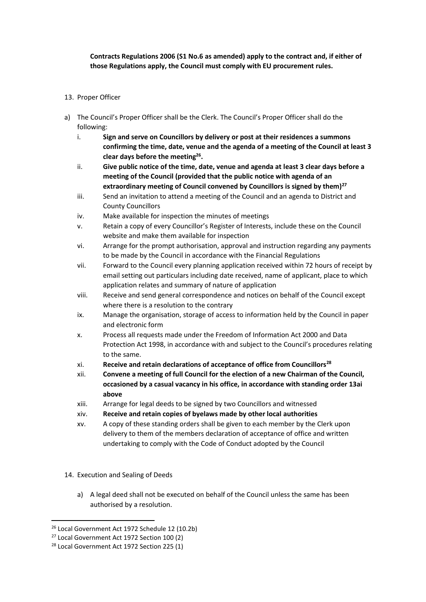## **Contracts Regulations 2006 (S1 No.6 as amended) apply to the contract and, if either of those Regulations apply, the Council must comply with EU procurement rules.**

### 13. Proper Officer

- a) The Council's Proper Officer shall be the Clerk. The Council's Proper Officer shall do the following:
	- i. **Sign and serve on Councillors by delivery or post at their residences a summons confirming the time, date, venue and the agenda of a meeting of the Council at least 3 clear days before the meeting<sup>26</sup> .**
	- ii. **Give public notice of the time, date, venue and agenda at least 3 clear days before a meeting of the Council (provided that the public notice with agenda of an extraordinary meeting of Council convened by Councillors is signed by them)<sup>27</sup>**
	- iii. Send an invitation to attend a meeting of the Council and an agenda to District and County Councillors
	- iv. Make available for inspection the minutes of meetings
	- v. Retain a copy of every Councillor's Register of Interests, include these on the Council website and make them available for inspection
	- vi. Arrange for the prompt authorisation, approval and instruction regarding any payments to be made by the Council in accordance with the Financial Regulations
	- vii. Forward to the Council every planning application received within 72 hours of receipt by email setting out particulars including date received, name of applicant, place to which application relates and summary of nature of application
	- viii. Receive and send general correspondence and notices on behalf of the Council except where there is a resolution to the contrary
	- ix. Manage the organisation, storage of access to information held by the Council in paper and electronic form
	- x. Process all requests made under the Freedom of Information Act 2000 and Data Protection Act 1998, in accordance with and subject to the Council's procedures relating to the same.
	- xi. **Receive and retain declarations of acceptance of office from Councillors<sup>28</sup>**
	- xii. **Convene a meeting of full Council for the election of a new Chairman of the Council, occasioned by a casual vacancy in his office, in accordance with standing order 13ai above**
	- xiii. Arrange for legal deeds to be signed by two Councillors and witnessed
	- xiv. **Receive and retain copies of byelaws made by other local authorities**
	- xv. A copy of these standing orders shall be given to each member by the Clerk upon delivery to them of the members declaration of acceptance of office and written undertaking to comply with the Code of Conduct adopted by the Council
- 14. Execution and Sealing of Deeds
	- a) A legal deed shall not be executed on behalf of the Council unless the same has been authorised by a resolution.

<sup>26</sup> Local Government Act 1972 Schedule 12 (10.2b)

<sup>27</sup> Local Government Act 1972 Section 100 (2)

<sup>&</sup>lt;sup>28</sup> Local Government Act 1972 Section 225 (1)